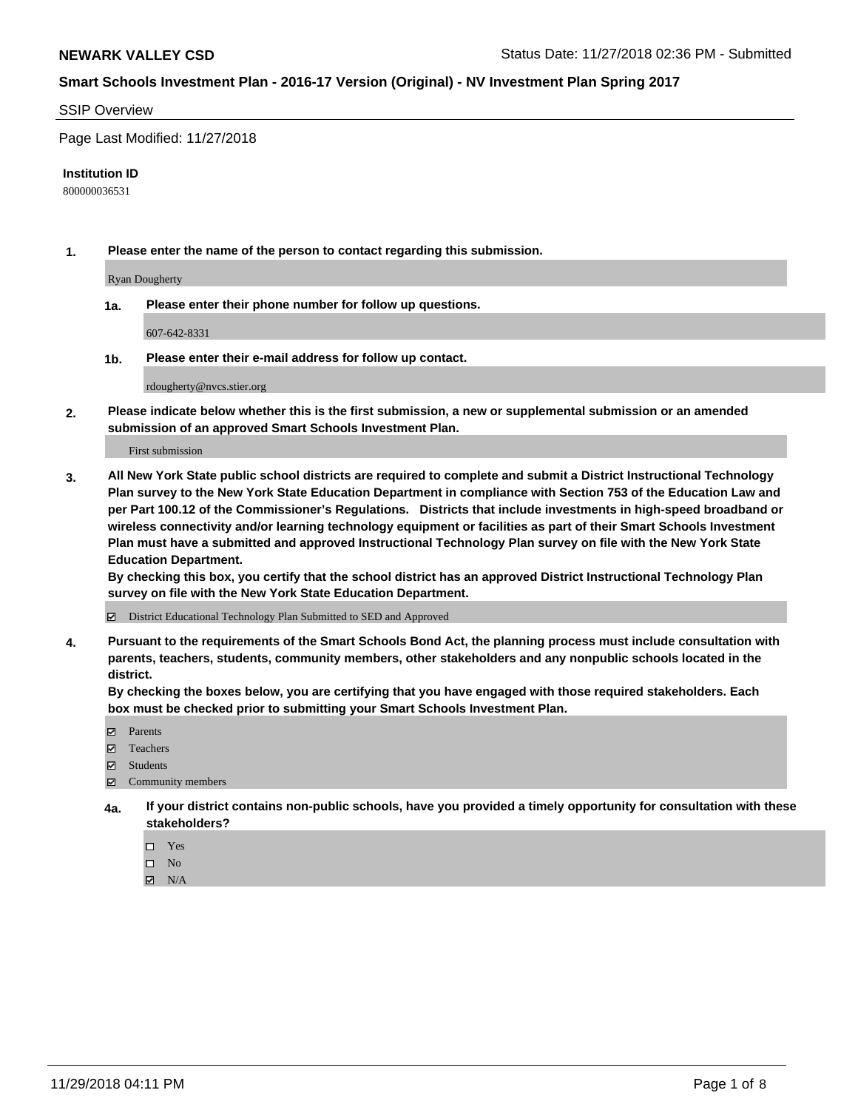#### SSIP Overview

Page Last Modified: 11/27/2018

#### **Institution ID**

800000036531

**1. Please enter the name of the person to contact regarding this submission.**

Ryan Dougherty

**1a. Please enter their phone number for follow up questions.**

607-642-8331

**1b. Please enter their e-mail address for follow up contact.**

rdougherty@nvcs.stier.org

**2. Please indicate below whether this is the first submission, a new or supplemental submission or an amended submission of an approved Smart Schools Investment Plan.**

First submission

**3. All New York State public school districts are required to complete and submit a District Instructional Technology Plan survey to the New York State Education Department in compliance with Section 753 of the Education Law and per Part 100.12 of the Commissioner's Regulations. Districts that include investments in high-speed broadband or wireless connectivity and/or learning technology equipment or facilities as part of their Smart Schools Investment Plan must have a submitted and approved Instructional Technology Plan survey on file with the New York State Education Department.** 

**By checking this box, you certify that the school district has an approved District Instructional Technology Plan survey on file with the New York State Education Department.**

District Educational Technology Plan Submitted to SED and Approved

**4. Pursuant to the requirements of the Smart Schools Bond Act, the planning process must include consultation with parents, teachers, students, community members, other stakeholders and any nonpublic schools located in the district.** 

**By checking the boxes below, you are certifying that you have engaged with those required stakeholders. Each box must be checked prior to submitting your Smart Schools Investment Plan.**

- **□** Parents
- Teachers
- Students
- $\boxtimes$  Community members
- **4a. If your district contains non-public schools, have you provided a timely opportunity for consultation with these stakeholders?**
	- $\Box$  Yes
	- $\qquad \qquad$  No
	- $\blacksquare$  N/A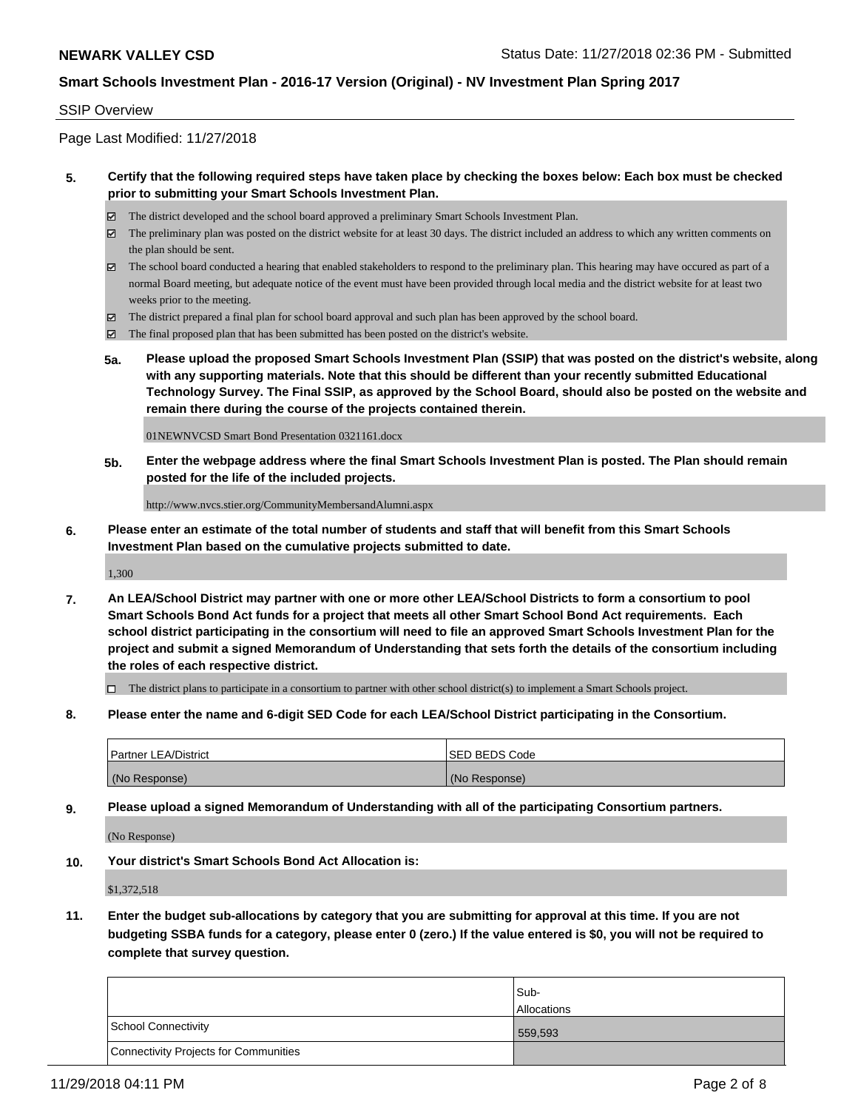#### SSIP Overview

Page Last Modified: 11/27/2018

## **5. Certify that the following required steps have taken place by checking the boxes below: Each box must be checked prior to submitting your Smart Schools Investment Plan.**

- The district developed and the school board approved a preliminary Smart Schools Investment Plan.
- $\boxtimes$  The preliminary plan was posted on the district website for at least 30 days. The district included an address to which any written comments on the plan should be sent.
- $\boxtimes$  The school board conducted a hearing that enabled stakeholders to respond to the preliminary plan. This hearing may have occured as part of a normal Board meeting, but adequate notice of the event must have been provided through local media and the district website for at least two weeks prior to the meeting.
- The district prepared a final plan for school board approval and such plan has been approved by the school board.
- $\boxtimes$  The final proposed plan that has been submitted has been posted on the district's website.
- **5a. Please upload the proposed Smart Schools Investment Plan (SSIP) that was posted on the district's website, along with any supporting materials. Note that this should be different than your recently submitted Educational Technology Survey. The Final SSIP, as approved by the School Board, should also be posted on the website and remain there during the course of the projects contained therein.**

01NEWNVCSD Smart Bond Presentation 0321161.docx

**5b. Enter the webpage address where the final Smart Schools Investment Plan is posted. The Plan should remain posted for the life of the included projects.**

http://www.nvcs.stier.org/CommunityMembersandAlumni.aspx

**6. Please enter an estimate of the total number of students and staff that will benefit from this Smart Schools Investment Plan based on the cumulative projects submitted to date.**

1,300

**7. An LEA/School District may partner with one or more other LEA/School Districts to form a consortium to pool Smart Schools Bond Act funds for a project that meets all other Smart School Bond Act requirements. Each school district participating in the consortium will need to file an approved Smart Schools Investment Plan for the project and submit a signed Memorandum of Understanding that sets forth the details of the consortium including the roles of each respective district.**

 $\Box$  The district plans to participate in a consortium to partner with other school district(s) to implement a Smart Schools project.

**8. Please enter the name and 6-digit SED Code for each LEA/School District participating in the Consortium.**

| <b>Partner LEA/District</b> | <b>ISED BEDS Code</b> |
|-----------------------------|-----------------------|
| (No Response)               | (No Response)         |

**9. Please upload a signed Memorandum of Understanding with all of the participating Consortium partners.**

(No Response)

**10. Your district's Smart Schools Bond Act Allocation is:**

\$1,372,518

**11. Enter the budget sub-allocations by category that you are submitting for approval at this time. If you are not budgeting SSBA funds for a category, please enter 0 (zero.) If the value entered is \$0, you will not be required to complete that survey question.**

|                                              | lSub-              |
|----------------------------------------------|--------------------|
|                                              | <b>Allocations</b> |
| <b>School Connectivity</b>                   | 559,593            |
| <b>Connectivity Projects for Communities</b> |                    |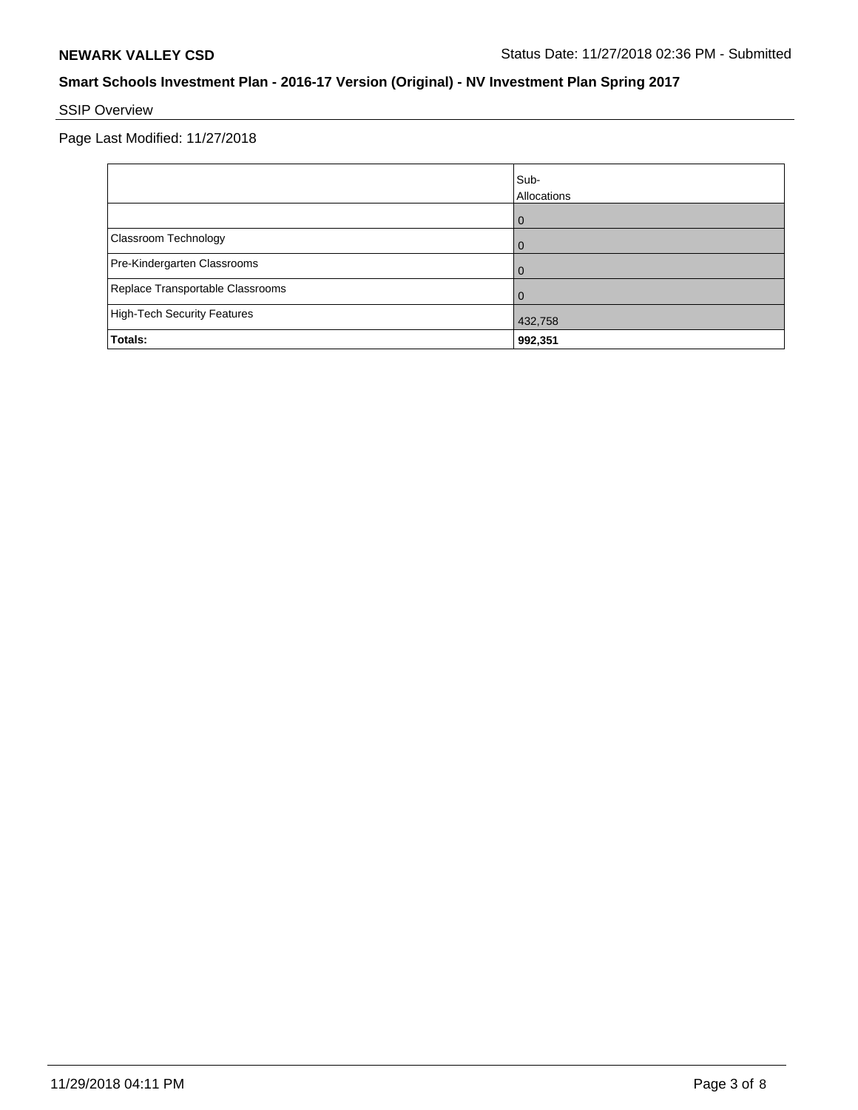# SSIP Overview

Page Last Modified: 11/27/2018

|                                  | Sub-<br>Allocations |
|----------------------------------|---------------------|
|                                  |                     |
| Classroom Technology             |                     |
| Pre-Kindergarten Classrooms      |                     |
| Replace Transportable Classrooms |                     |
| High-Tech Security Features      | 432,758             |
| Totals:                          | 992,351             |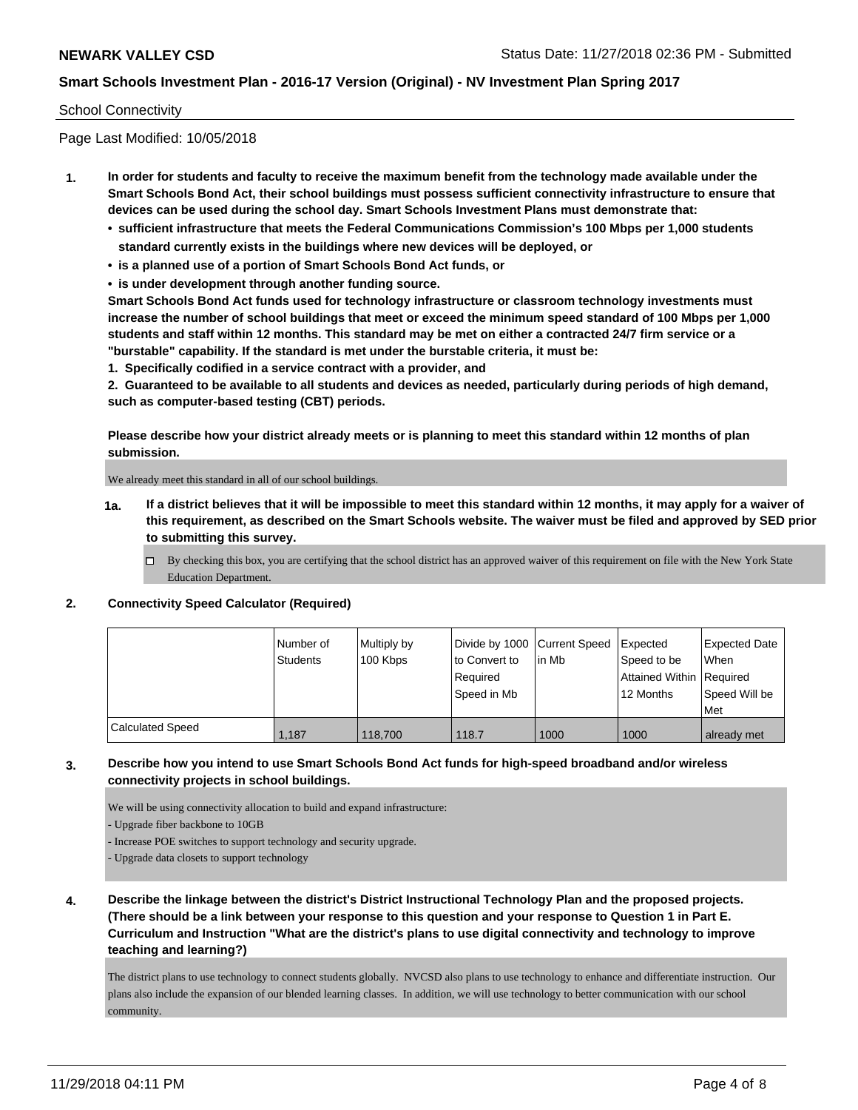### School Connectivity

Page Last Modified: 10/05/2018

- **1. In order for students and faculty to receive the maximum benefit from the technology made available under the Smart Schools Bond Act, their school buildings must possess sufficient connectivity infrastructure to ensure that devices can be used during the school day. Smart Schools Investment Plans must demonstrate that:**
	- **• sufficient infrastructure that meets the Federal Communications Commission's 100 Mbps per 1,000 students standard currently exists in the buildings where new devices will be deployed, or**
	- **• is a planned use of a portion of Smart Schools Bond Act funds, or**
	- **• is under development through another funding source.**

**Smart Schools Bond Act funds used for technology infrastructure or classroom technology investments must increase the number of school buildings that meet or exceed the minimum speed standard of 100 Mbps per 1,000 students and staff within 12 months. This standard may be met on either a contracted 24/7 firm service or a "burstable" capability. If the standard is met under the burstable criteria, it must be:**

**1. Specifically codified in a service contract with a provider, and**

**2. Guaranteed to be available to all students and devices as needed, particularly during periods of high demand, such as computer-based testing (CBT) periods.**

**Please describe how your district already meets or is planning to meet this standard within 12 months of plan submission.**

We already meet this standard in all of our school buildings.

- **1a. If a district believes that it will be impossible to meet this standard within 12 months, it may apply for a waiver of this requirement, as described on the Smart Schools website. The waiver must be filed and approved by SED prior to submitting this survey.**
	- By checking this box, you are certifying that the school district has an approved waiver of this requirement on file with the New York State Education Department.

#### **2. Connectivity Speed Calculator (Required)**

|                         | Number of<br>Students | Multiply by<br>100 Kbps | Divide by 1000 Current Speed<br>to Convert to<br>Required<br>Speed in Mb | lin Mb | Expected<br>Speed to be<br>Attained Within   Required<br>12 Months | <b>Expected Date</b><br>When<br>Speed Will be<br>Met |
|-------------------------|-----------------------|-------------------------|--------------------------------------------------------------------------|--------|--------------------------------------------------------------------|------------------------------------------------------|
| <b>Calculated Speed</b> | 1.187                 | 118,700                 | 118.7                                                                    | 1000   | 1000                                                               | already met                                          |

## **3. Describe how you intend to use Smart Schools Bond Act funds for high-speed broadband and/or wireless connectivity projects in school buildings.**

We will be using connectivity allocation to build and expand infrastructure:

- Upgrade fiber backbone to 10GB

- Increase POE switches to support technology and security upgrade.
- Upgrade data closets to support technology
- **4. Describe the linkage between the district's District Instructional Technology Plan and the proposed projects. (There should be a link between your response to this question and your response to Question 1 in Part E. Curriculum and Instruction "What are the district's plans to use digital connectivity and technology to improve teaching and learning?)**

The district plans to use technology to connect students globally. NVCSD also plans to use technology to enhance and differentiate instruction. Our plans also include the expansion of our blended learning classes. In addition, we will use technology to better communication with our school community.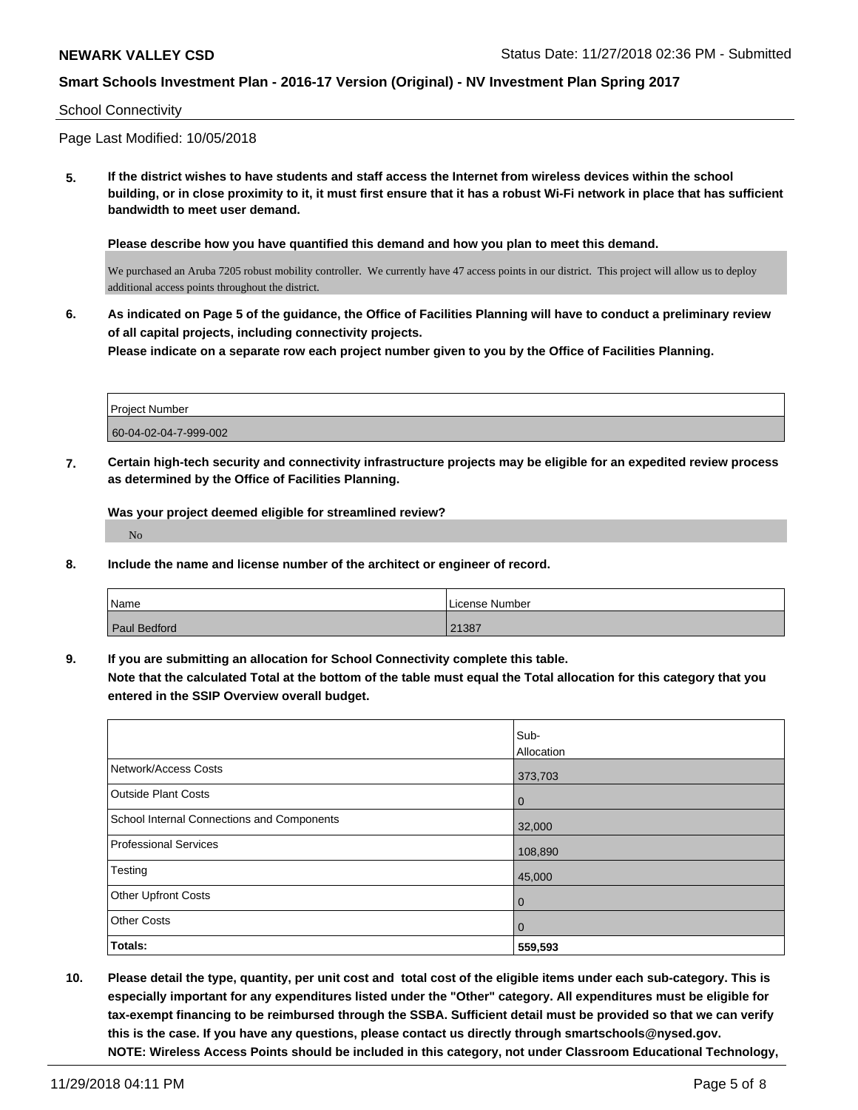#### School Connectivity

Page Last Modified: 10/05/2018

**5. If the district wishes to have students and staff access the Internet from wireless devices within the school building, or in close proximity to it, it must first ensure that it has a robust Wi-Fi network in place that has sufficient bandwidth to meet user demand.**

**Please describe how you have quantified this demand and how you plan to meet this demand.**

We purchased an Aruba 7205 robust mobility controller. We currently have 47 access points in our district. This project will allow us to deploy additional access points throughout the district.

**6. As indicated on Page 5 of the guidance, the Office of Facilities Planning will have to conduct a preliminary review of all capital projects, including connectivity projects. Please indicate on a separate row each project number given to you by the Office of Facilities Planning.**

| <b>Project Number</b> |  |
|-----------------------|--|
| 60-04-02-04-7-999-002 |  |

**7. Certain high-tech security and connectivity infrastructure projects may be eligible for an expedited review process as determined by the Office of Facilities Planning.**

**Was your project deemed eligible for streamlined review?** No

**8. Include the name and license number of the architect or engineer of record.**

| Name                | License Number |
|---------------------|----------------|
| <b>Paul Bedford</b> | 21387          |

**9. If you are submitting an allocation for School Connectivity complete this table.**

**Note that the calculated Total at the bottom of the table must equal the Total allocation for this category that you entered in the SSIP Overview overall budget.** 

|                                            | Sub-       |
|--------------------------------------------|------------|
|                                            | Allocation |
| Network/Access Costs                       | 373,703    |
| <b>Outside Plant Costs</b>                 | 0          |
| School Internal Connections and Components | 32,000     |
| <b>Professional Services</b>               | 108,890    |
| Testing                                    | 45,000     |
| <b>Other Upfront Costs</b>                 | 0          |
| <b>Other Costs</b>                         | 0          |
| Totals:                                    | 559,593    |

**10. Please detail the type, quantity, per unit cost and total cost of the eligible items under each sub-category. This is especially important for any expenditures listed under the "Other" category. All expenditures must be eligible for tax-exempt financing to be reimbursed through the SSBA. Sufficient detail must be provided so that we can verify this is the case. If you have any questions, please contact us directly through smartschools@nysed.gov. NOTE: Wireless Access Points should be included in this category, not under Classroom Educational Technology,**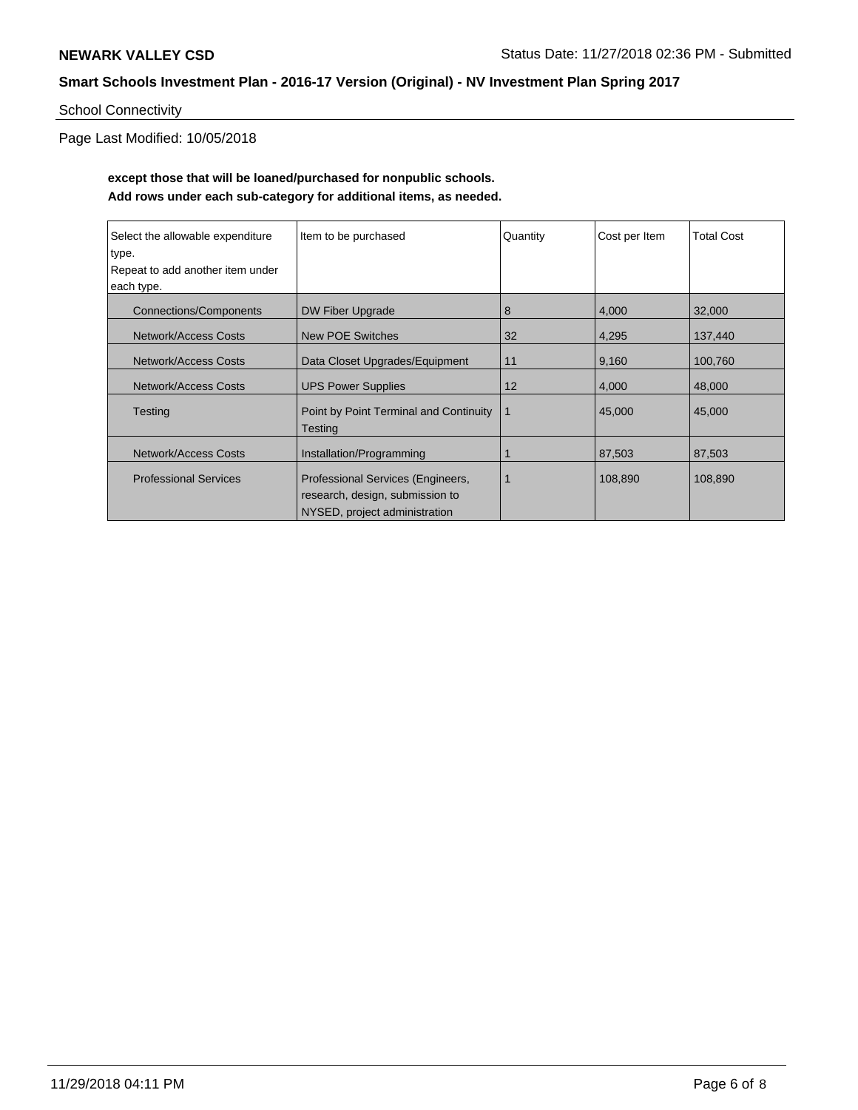# School Connectivity

Page Last Modified: 10/05/2018

# **except those that will be loaned/purchased for nonpublic schools. Add rows under each sub-category for additional items, as needed.**

| Select the allowable expenditure | Item to be purchased                                                                                  | Quantity | Cost per Item | <b>Total Cost</b> |
|----------------------------------|-------------------------------------------------------------------------------------------------------|----------|---------------|-------------------|
| type.                            |                                                                                                       |          |               |                   |
| Repeat to add another item under |                                                                                                       |          |               |                   |
| each type.                       |                                                                                                       |          |               |                   |
| <b>Connections/Components</b>    | DW Fiber Upgrade                                                                                      | 8        | 4,000         | 32,000            |
| Network/Access Costs             | <b>New POE Switches</b>                                                                               | 32       | 4,295         | 137,440           |
| Network/Access Costs             | Data Closet Upgrades/Equipment                                                                        | 11       | 9,160         | 100,760           |
| <b>Network/Access Costs</b>      | <b>UPS Power Supplies</b>                                                                             | 12       | 4,000         | 48,000            |
| Testing                          | Point by Point Terminal and Continuity<br><b>Testing</b>                                              | 1        | 45,000        | 45,000            |
| <b>Network/Access Costs</b>      | Installation/Programming                                                                              | 1        | 87,503        | 87,503            |
| <b>Professional Services</b>     | Professional Services (Engineers,<br>research, design, submission to<br>NYSED, project administration |          | 108,890       | 108,890           |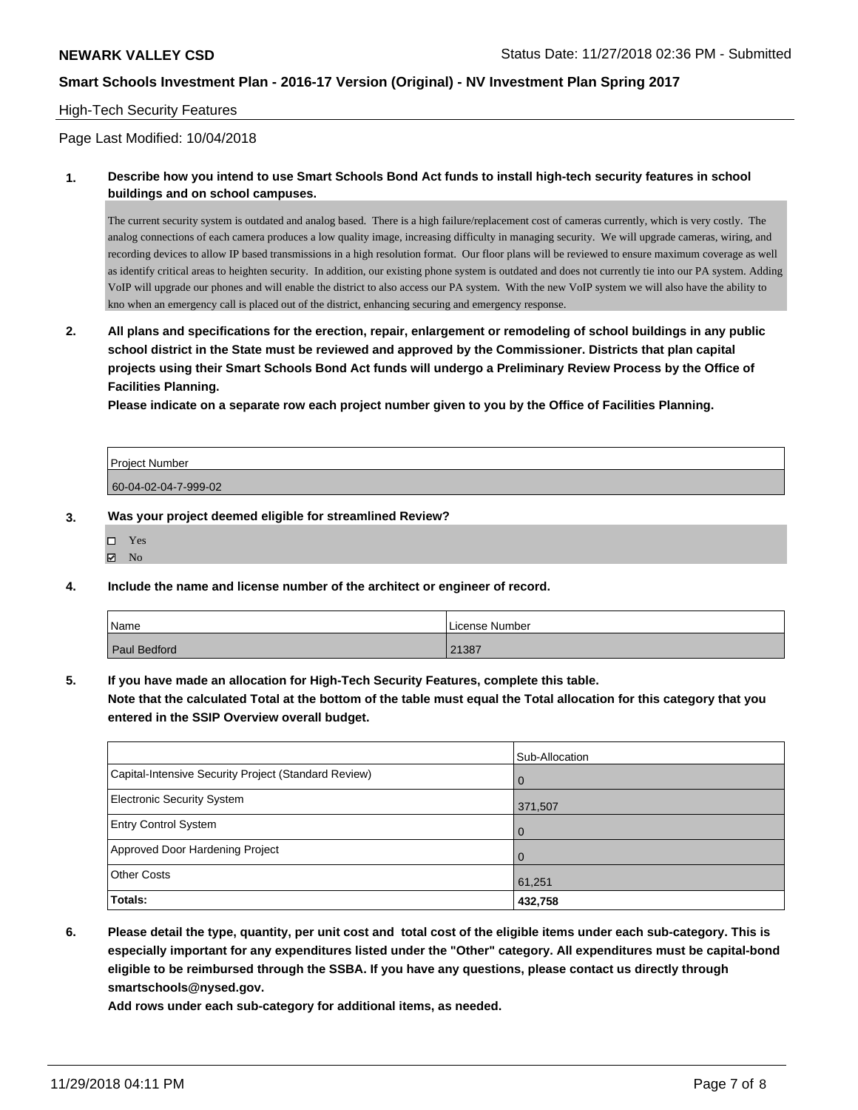### High-Tech Security Features

Page Last Modified: 10/04/2018

**1. Describe how you intend to use Smart Schools Bond Act funds to install high-tech security features in school buildings and on school campuses.**

The current security system is outdated and analog based. There is a high failure/replacement cost of cameras currently, which is very costly. The analog connections of each camera produces a low quality image, increasing difficulty in managing security. We will upgrade cameras, wiring, and recording devices to allow IP based transmissions in a high resolution format. Our floor plans will be reviewed to ensure maximum coverage as well as identify critical areas to heighten security. In addition, our existing phone system is outdated and does not currently tie into our PA system. Adding VoIP will upgrade our phones and will enable the district to also access our PA system. With the new VoIP system we will also have the ability to kno when an emergency call is placed out of the district, enhancing securing and emergency response.

**2. All plans and specifications for the erection, repair, enlargement or remodeling of school buildings in any public school district in the State must be reviewed and approved by the Commissioner. Districts that plan capital projects using their Smart Schools Bond Act funds will undergo a Preliminary Review Process by the Office of Facilities Planning.** 

**Please indicate on a separate row each project number given to you by the Office of Facilities Planning.**

| <b>Project Number</b> |  |
|-----------------------|--|
| 60-04-02-04-7-999-02  |  |

#### **3. Was your project deemed eligible for streamlined Review?**

| $\square$ Yes  |  |
|----------------|--|
| $\boxtimes$ No |  |

**4. Include the name and license number of the architect or engineer of record.**

| Name                | License Number |
|---------------------|----------------|
| <b>Paul Bedford</b> | 21387          |

**5. If you have made an allocation for High-Tech Security Features, complete this table.**

**Note that the calculated Total at the bottom of the table must equal the Total allocation for this category that you entered in the SSIP Overview overall budget.**

|                                                      | Sub-Allocation |
|------------------------------------------------------|----------------|
| Capital-Intensive Security Project (Standard Review) | l O            |
| Electronic Security System                           | 371,507        |
| <b>Entry Control System</b>                          | l O            |
| Approved Door Hardening Project                      | <b>0</b>       |
| <b>Other Costs</b>                                   | 61,251         |
| Totals:                                              | 432,758        |

**6. Please detail the type, quantity, per unit cost and total cost of the eligible items under each sub-category. This is especially important for any expenditures listed under the "Other" category. All expenditures must be capital-bond eligible to be reimbursed through the SSBA. If you have any questions, please contact us directly through smartschools@nysed.gov.**

**Add rows under each sub-category for additional items, as needed.**